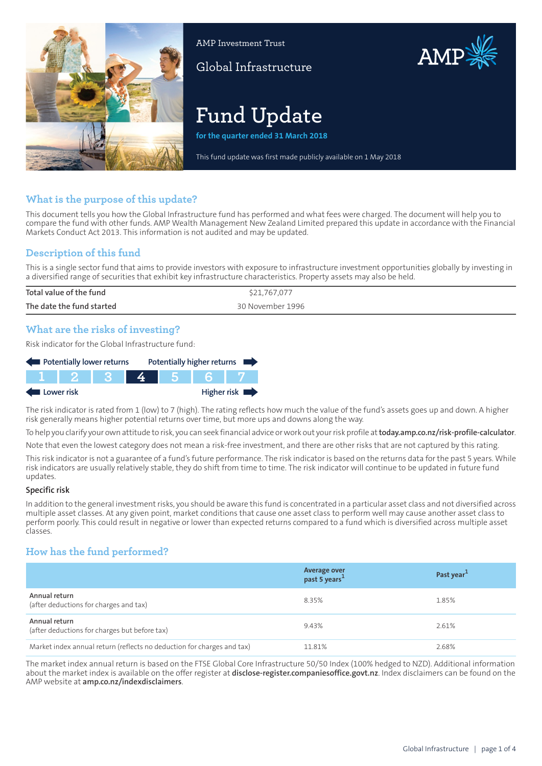

AMP Investment Trust

Global Infrastructure

# AMP

# **Fund Update**

**for the quarter ended 31 March 2018**

This fund update was first made publicly available on 1 May 2018

# **What is the purpose of this update?**

This document tells you how the Global Infrastructure fund has performed and what fees were charged. The document will help you to compare the fund with other funds. AMP Wealth Management New Zealand Limited prepared this update in accordance with the Financial Markets Conduct Act 2013. This information is not audited and may be updated.

# **Description of this fund**

This is a single sector fund that aims to provide investors with exposure to infrastructure investment opportunities globally by investing in a diversified range of securities that exhibit key infrastructure characteristics. Property assets may also be held.

| Total value of the fund   | \$21,767,077     |
|---------------------------|------------------|
| The date the fund started | 30 November 1996 |
|                           |                  |

# **What are the risks of investing?**

Risk indicator for the Global Infrastructure fund:

| Potentially lower returns |  |  |  |  | Potentially higher returns |
|---------------------------|--|--|--|--|----------------------------|
|                           |  |  |  |  |                            |
| Lower risk                |  |  |  |  | Higher risk                |

The risk indicator is rated from 1 (low) to 7 (high). The rating reflects how much the value of the fund's assets goes up and down. A higher risk generally means higher potential returns over time, but more ups and downs along the way.

To help you clarify your own attitude to risk, you can seek financial advice orwork out yourrisk profile at**[today.amp.co.nz/risk-profile-calculator](http://today.amp.co.nz/risk-profile-calculator)**.

Note that even the lowest category does not mean a risk-free investment, and there are other risks that are not captured by this rating.

This risk indicator is not a guarantee of a fund's future performance. The risk indicator is based on the returns data for the past 5 years. While risk indicators are usually relatively stable, they do shift from time to time. The risk indicator will continue to be updated in future fund updates.

#### **Specific risk**

In addition to the general investmentrisks, you should be aware this fund is concentrated in a particular asset class and not diversified across multiple asset classes. At any given point, market conditions that cause one asset class to perform well may cause another asset class to perform poorly. This could result in negative or lower than expected returns compared to a fund which is diversified across multiple asset classes.

# **How has the fund performed?**

|                                                                        | Average over<br>past 5 years <sup>1</sup> | Past year <sup>1</sup> |
|------------------------------------------------------------------------|-------------------------------------------|------------------------|
| Annual return<br>(after deductions for charges and tax)                | 8.35%                                     | 1.85%                  |
| Annual return<br>(after deductions for charges but before tax)         | 9.43%                                     | 2.61%                  |
| Market index annual return (reflects no deduction for charges and tax) | 11.81%                                    | 2.68%                  |

The market index annual return is based on the FTSE Global Core Infrastructure 50/50 Index (100% hedged to NZD). Additional information about the market index is available on the offer register at **[disclose-register.companiesoffice.govt.nz](https://disclose-register.companiesoffice.govt.nz/)**. Index disclaimers can be found on the AMP website at **[amp.co.nz/indexdisclaimers](http://amp.co.nz/indexdisclaimers)**.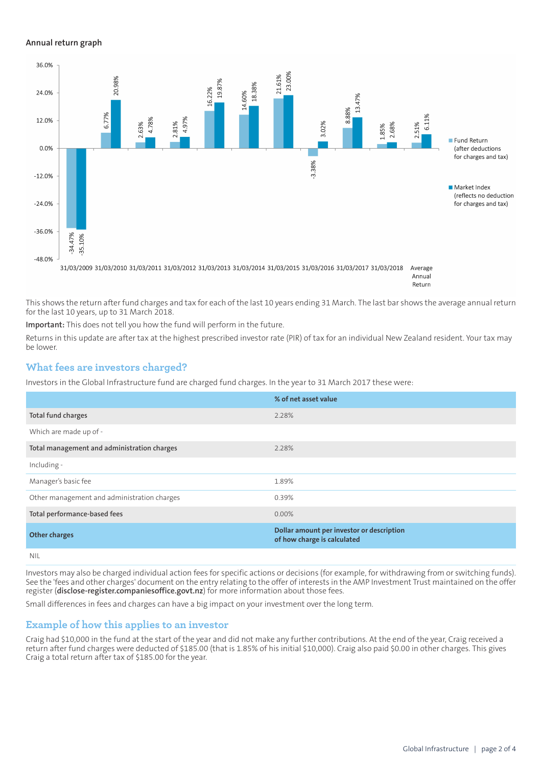#### **Annual return graph**



Return

This shows the return after fund charges and tax for each of the last 10 years ending 31 March. The last bar shows the average annual return for the last 10 years, up to 31 March 2018.

**Important:** This does not tell you how the fund will perform in the future.

Returns in this update are after tax at the highest prescribed investor rate (PIR) of tax for an individual New Zealand resident. Your tax may be lower.

#### **What fees are investors charged?**

Investors in the Global Infrastructure fund are charged fund charges. In the year to 31 March 2017 these were:

|                                             | % of net asset value                                                     |
|---------------------------------------------|--------------------------------------------------------------------------|
| Total fund charges                          | 2.28%                                                                    |
| Which are made up of -                      |                                                                          |
| Total management and administration charges | 2.28%                                                                    |
| Including -                                 |                                                                          |
| Manager's basic fee                         | 1.89%                                                                    |
| Other management and administration charges | 0.39%                                                                    |
| Total performance-based fees                | $0.00\%$                                                                 |
| <b>Other charges</b>                        | Dollar amount per investor or description<br>of how charge is calculated |
| .                                           |                                                                          |

NIL

Investors may also be charged individual action fees for specific actions or decisions (for example, for withdrawing from or switching funds). See the 'fees and other charges' document on the entry relating to the offer of interests in the AMP Investment Trust maintained on the offer register (**[disclose-register.companiesoffice.govt.nz](https://disclose-register.companiesoffice.govt.nz/)**) for more information about those fees.

Small differences in fees and charges can have a big impact on your investment over the long term.

#### **Example of how this applies to an investor**

Craig had \$10,000 in the fund at the start of the year and did not make any further contributions. At the end of the year, Craig received a return after fund charges were deducted of \$185.00 (that is 1.85% of his initial \$10,000). Craig also paid \$0.00 in other charges. This gives Craig a total return after tax of \$185.00 for the year.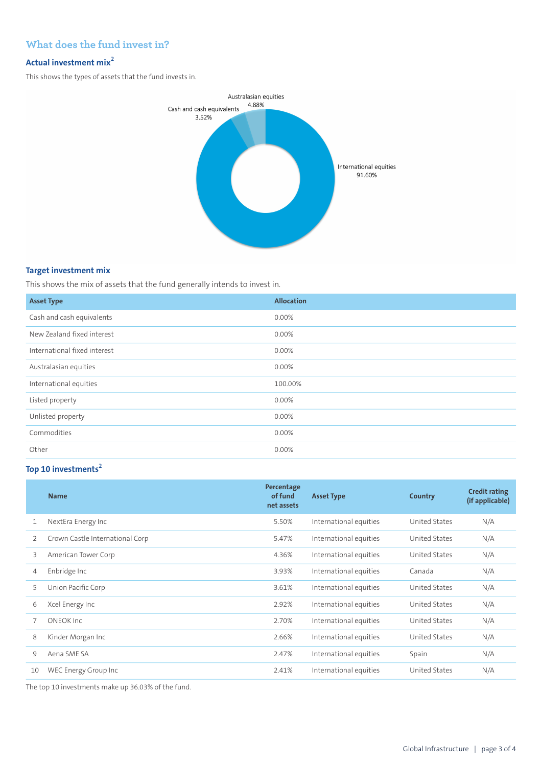# **What does the fund invest in?**

### **Actual investment mix<sup>2</sup>**

This shows the types of assets that the fund invests in.



#### **Target investment mix**

This shows the mix of assets that the fund generally intends to invest in.

| <b>Asset Type</b>            | <b>Allocation</b> |
|------------------------------|-------------------|
| Cash and cash equivalents    | 0.00%             |
| New Zealand fixed interest   | 0.00%             |
| International fixed interest | 0.00%             |
| Australasian equities        | 0.00%             |
| International equities       | 100.00%           |
| Listed property              | 0.00%             |
| Unlisted property            | 0.00%             |
| Commodities                  | 0.00%             |
| Other                        | 0.00%             |

# **Top 10 investments<sup>2</sup>**

|                | <b>Name</b>                     | Percentage<br>of fund<br>net assets | <b>Asset Type</b>      | <b>Country</b> | <b>Credit rating</b><br>(if applicable) |
|----------------|---------------------------------|-------------------------------------|------------------------|----------------|-----------------------------------------|
| 1              | NextEra Energy Inc              | 5.50%                               | International equities | United States  | N/A                                     |
| 2              | Crown Castle International Corp | 5.47%                               | International equities | United States  | N/A                                     |
| 3              | American Tower Corp             | 4.36%                               | International equities | United States  | N/A                                     |
| $\overline{4}$ | Enbridge Inc                    | 3.93%                               | International equities | Canada         | N/A                                     |
| 5              | Union Pacific Corp              | 3.61%                               | International equities | United States  | N/A                                     |
| 6              | Xcel Energy Inc                 | 2.92%                               | International equities | United States  | N/A                                     |
|                | <b>ONEOK Inc</b>                | 2.70%                               | International equities | United States  | N/A                                     |
| 8              | Kinder Morgan Inc               | 2.66%                               | International equities | United States  | N/A                                     |
| 9              | Aena SME SA                     | 2.47%                               | International equities | Spain          | N/A                                     |
| 10             | WEC Energy Group Inc            | 2.41%                               | International equities | United States  | N/A                                     |

The top 10 investments make up 36.03% of the fund.